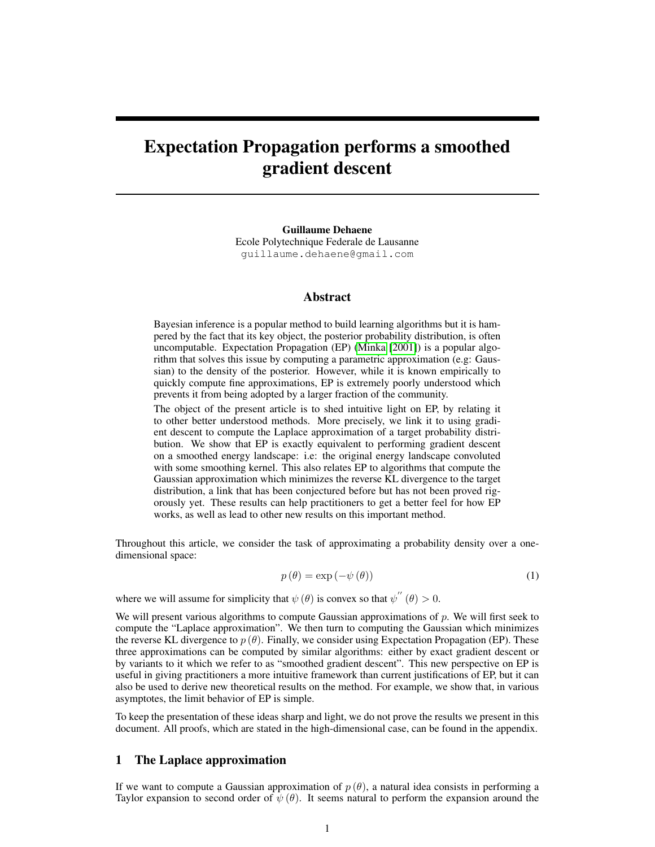# Expectation Propagation performs a smoothed gradient descent

Guillaume Dehaene Ecole Polytechnique Federale de Lausanne guillaume.dehaene@gmail.com

## Abstract

Bayesian inference is a popular method to build learning algorithms but it is hampered by the fact that its key object, the posterior probability distribution, is often uncomputable. Expectation Propagation (EP) [\(Minka](#page-4-0) [\[2001\]](#page-4-0)) is a popular algorithm that solves this issue by computing a parametric approximation (e.g: Gaussian) to the density of the posterior. However, while it is known empirically to quickly compute fine approximations, EP is extremely poorly understood which prevents it from being adopted by a larger fraction of the community.

The object of the present article is to shed intuitive light on EP, by relating it to other better understood methods. More precisely, we link it to using gradient descent to compute the Laplace approximation of a target probability distribution. We show that EP is exactly equivalent to performing gradient descent on a smoothed energy landscape: i.e: the original energy landscape convoluted with some smoothing kernel. This also relates EP to algorithms that compute the Gaussian approximation which minimizes the reverse KL divergence to the target distribution, a link that has been conjectured before but has not been proved rigorously yet. These results can help practitioners to get a better feel for how EP works, as well as lead to other new results on this important method.

Throughout this article, we consider the task of approximating a probability density over a onedimensional space:

$$
p(\theta) = \exp(-\psi(\theta))\tag{1}
$$

where we will assume for simplicity that  $\psi(\theta)$  is convex so that  $\psi''(\theta) > 0$ .

We will present various algorithms to compute Gaussian approximations of  $p$ . We will first seek to compute the "Laplace approximation". We then turn to computing the Gaussian which minimizes the reverse KL divergence to  $p(\theta)$ . Finally, we consider using Expectation Propagation (EP). These three approximations can be computed by similar algorithms: either by exact gradient descent or by variants to it which we refer to as "smoothed gradient descent". This new perspective on EP is useful in giving practitioners a more intuitive framework than current justifications of EP, but it can also be used to derive new theoretical results on the method. For example, we show that, in various asymptotes, the limit behavior of EP is simple.

To keep the presentation of these ideas sharp and light, we do not prove the results we present in this document. All proofs, which are stated in the high-dimensional case, can be found in the appendix.

## 1 The Laplace approximation

If we want to compute a Gaussian approximation of  $p(\theta)$ , a natural idea consists in performing a Taylor expansion to second order of  $\psi(\theta)$ . It seems natural to perform the expansion around the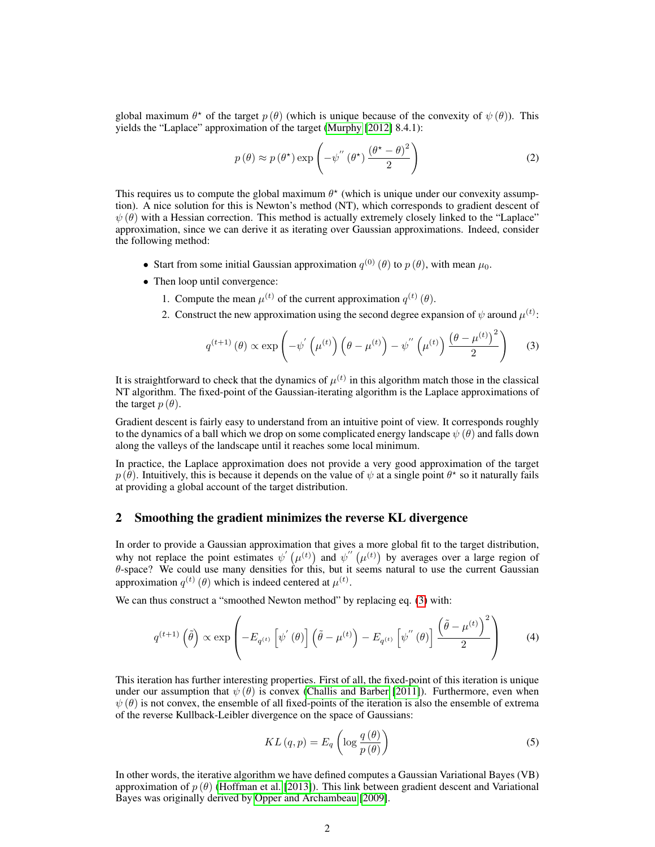global maximum  $\theta^*$  of the target  $p(\theta)$  (which is unique because of the convexity of  $\psi(\theta)$ ). This yields the "Laplace" approximation of the target [\(Murphy](#page-4-1) [\[2012\]](#page-4-1) 8.4.1):

$$
p(\theta) \approx p(\theta^*) \exp\left(-\psi''(\theta^*)\frac{(\theta^* - \theta)^2}{2}\right)
$$
 (2)

This requires us to compute the global maximum  $\theta^*$  (which is unique under our convexity assumption). A nice solution for this is Newton's method (NT), which corresponds to gradient descent of  $\psi(\theta)$  with a Hessian correction. This method is actually extremely closely linked to the "Laplace" approximation, since we can derive it as iterating over Gaussian approximations. Indeed, consider the following method:

- Start from some initial Gaussian approximation  $q^{(0)}(\theta)$  to  $p(\theta)$ , with mean  $\mu_0$ .
- Then loop until convergence:
	- 1. Compute the mean  $\mu^{(t)}$  of the current approximation  $q^{(t)}(\theta)$ .
	- 2. Construct the new approximation using the second degree expansion of  $\psi$  around  $\mu^{(t)}$ :

<span id="page-1-0"></span>
$$
q^{(t+1)}(\theta) \propto \exp\left(-\psi^{'}\left(\mu^{(t)}\right)\left(\theta-\mu^{(t)}\right)-\psi^{''}\left(\mu^{(t)}\right)\frac{\left(\theta-\mu^{(t)}\right)^2}{2}\right) \tag{3}
$$

It is straightforward to check that the dynamics of  $\mu^{(t)}$  in this algorithm match those in the classical NT algorithm. The fixed-point of the Gaussian-iterating algorithm is the Laplace approximations of the target  $p(\theta)$ .

Gradient descent is fairly easy to understand from an intuitive point of view. It corresponds roughly to the dynamics of a ball which we drop on some complicated energy landscape  $\psi(\theta)$  and falls down along the valleys of the landscape until it reaches some local minimum.

In practice, the Laplace approximation does not provide a very good approximation of the target  $p(\hat{\theta})$ . Intuitively, this is because it depends on the value of  $\psi$  at a single point  $\theta^*$  so it naturally fails at providing a global account of the target distribution.

## 2 Smoothing the gradient minimizes the reverse KL divergence

In order to provide a Gaussian approximation that gives a more global fit to the target distribution, why not replace the point estimates  $\psi'(\mu^{(t)})$  and  $\psi''(\mu^{(t)})$  by averages over a large region of  $\theta$ -space? We could use many densities for this, but it seems natural to use the current Gaussian approximation  $q^{(t)}(\theta)$  which is indeed centered at  $\mu^{(t)}$ .

We can thus construct a "smoothed Newton method" by replacing eq. [\(3\)](#page-1-0) with:

<span id="page-1-1"></span>
$$
q^{(t+1)}\left(\tilde{\theta}\right) \propto \exp\left(-E_{q^{(t)}}\left[\psi^{'}\left(\theta\right)\right]\left(\tilde{\theta}-\mu^{(t)}\right)-E_{q^{(t)}}\left[\psi^{''}\left(\theta\right)\right]\frac{\left(\tilde{\theta}-\mu^{(t)}\right)^{2}}{2}\right) \tag{4}
$$

This iteration has further interesting properties. First of all, the fixed-point of this iteration is unique under our assumption that  $\psi(\theta)$  is convex [\(Challis and Barber](#page-4-2) [\[2011\]](#page-4-2)). Furthermore, even when  $\psi(\theta)$  is not convex, the ensemble of all fixed-points of the iteration is also the ensemble of extrema of the reverse Kullback-Leibler divergence on the space of Gaussians:

<span id="page-1-2"></span>
$$
KL(q, p) = E_q \left( \log \frac{q(\theta)}{p(\theta)} \right)
$$
 (5)

In other words, the iterative algorithm we have defined computes a Gaussian Variational Bayes (VB) approximation of  $p(\theta)$  [\(Hoffman et al.](#page-4-3) [\[2013\]](#page-4-3)). This link between gradient descent and Variational Bayes was originally derived by [Opper and Archambeau](#page-4-4) [\[2009\]](#page-4-4).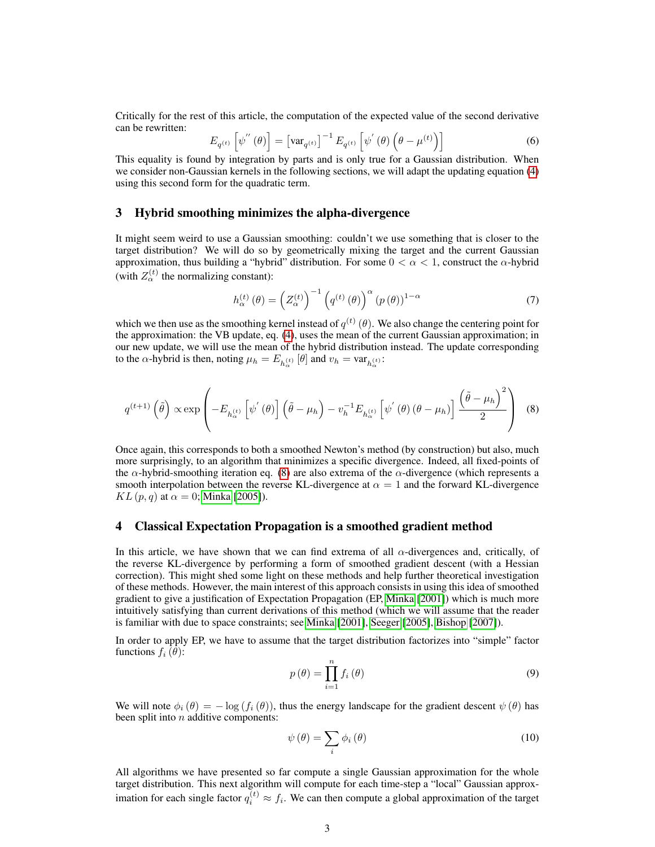Critically for the rest of this article, the computation of the expected value of the second derivative can be rewritten:

$$
E_{q^{(t)}}\left[\psi^{''}\left(\theta\right)\right] = \left[\text{var}_{q^{(t)}}\right]^{-1} E_{q^{(t)}}\left[\psi^{'}\left(\theta\right)\left(\theta - \mu^{(t)}\right)\right] \tag{6}
$$

This equality is found by integration by parts and is only true for a Gaussian distribution. When we consider non-Gaussian kernels in the following sections, we will adapt the updating equation [\(4\)](#page-1-1) using this second form for the quadratic term.

## 3 Hybrid smoothing minimizes the alpha-divergence

It might seem weird to use a Gaussian smoothing: couldn't we use something that is closer to the target distribution? We will do so by geometrically mixing the target and the current Gaussian approximation, thus building a "hybrid" distribution. For some  $0 < \alpha < 1$ , construct the  $\alpha$ -hybrid (with  $Z_{\alpha}^{(t)}$  the normalizing constant):

<span id="page-2-1"></span><span id="page-2-0"></span>
$$
h_{\alpha}^{(t)}(\theta) = \left(Z_{\alpha}^{(t)}\right)^{-1} \left(q^{(t)}(\theta)\right)^{\alpha} \left(p(\theta)\right)^{1-\alpha} \tag{7}
$$

which we then use as the smoothing kernel instead of  $q^{(t)}(\theta)$ . We also change the centering point for the approximation: the VB update, eq. [\(4\)](#page-1-1), uses the mean of the current Gaussian approximation; in our new update, we will use the mean of the hybrid distribution instead. The update corresponding to the  $\alpha$ -hybrid is then, noting  $\mu_h = E_{h_{\alpha}^{(t)}}[\theta]$  and  $v_h = \text{var}_{h_{\alpha}^{(t)}}$ :

$$
q^{(t+1)}\left(\tilde{\theta}\right) \propto \exp\left(-E_{h_{\alpha}^{(t)}}\left[\psi^{'}\left(\theta\right)\right]\left(\tilde{\theta}-\mu_{h}\right)-v_{h}^{-1}E_{h_{\alpha}^{(t)}}\left[\psi^{'}\left(\theta\right)\left(\theta-\mu_{h}\right)\right]\frac{\left(\tilde{\theta}-\mu_{h}\right)^{2}}{2}\right) \tag{8}
$$

Once again, this corresponds to both a smoothed Newton's method (by construction) but also, much more surprisingly, to an algorithm that minimizes a specific divergence. Indeed, all fixed-points of the  $\alpha$ -hybrid-smoothing iteration eq. [\(8\)](#page-2-0) are also extrema of the  $\alpha$ -divergence (which represents a smooth interpolation between the reverse KL-divergence at  $\alpha = 1$  and the forward KL-divergence  $KL(p, q)$  at  $\alpha = 0$ ; [Minka](#page-4-5) [\[2005\]](#page-4-5)).

#### 4 Classical Expectation Propagation is a smoothed gradient method

In this article, we have shown that we can find extrema of all  $\alpha$ -divergences and, critically, of the reverse KL-divergence by performing a form of smoothed gradient descent (with a Hessian correction). This might shed some light on these methods and help further theoretical investigation of these methods. However, the main interest of this approach consists in using this idea of smoothed gradient to give a justification of Expectation Propagation (EP, [Minka](#page-4-0) [\[2001\]](#page-4-0)) which is much more intuitively satisfying than current derivations of this method (which we will assume that the reader is familiar with due to space constraints; see [Minka](#page-4-0) [\[2001\]](#page-4-0), [Seeger](#page-4-6) [\[2005\]](#page-4-6), [Bishop](#page-4-7) [\[2007\]](#page-4-7)).

In order to apply EP, we have to assume that the target distribution factorizes into "simple" factor functions  $f_i(\theta)$ :

$$
p(\theta) = \prod_{i=1}^{n} f_i(\theta)
$$
\n(9)

We will note  $\phi_i(\theta) = -\log(f_i(\theta))$ , thus the energy landscape for the gradient descent  $\psi(\theta)$  has been split into  $n$  additive components:

$$
\psi(\theta) = \sum_{i} \phi_i(\theta) \tag{10}
$$

All algorithms we have presented so far compute a single Gaussian approximation for the whole target distribution. This next algorithm will compute for each time-step a "local" Gaussian approximation for each single factor  $q_i^{(t)} \approx f_i$ . We can then compute a global approximation of the target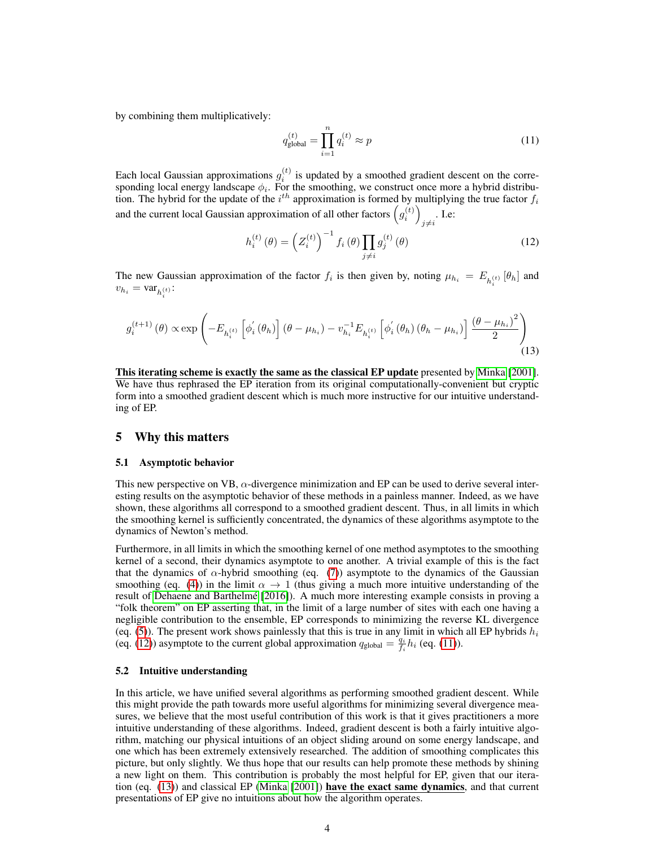by combining them multiplicatively:

<span id="page-3-1"></span>
$$
q_{\text{global}}^{(t)} = \prod_{i=1}^{n} q_i^{(t)} \approx p \tag{11}
$$

Each local Gaussian approximations  $g_i^{(t)}$  is updated by a smoothed gradient descent on the corresponding local energy landscape  $\phi_i$ . For the smoothing, we construct once more a hybrid distribution. The hybrid for the update of the  $i<sup>th</sup>$  approximation is formed by multiplying the true factor  $f_i$ and the current local Gaussian approximation of all other factors  $\left(g_i^{(t)}\right)$  $i \neq i$ . I.e:

<span id="page-3-2"></span><span id="page-3-0"></span>
$$
h_i^{(t)}(\theta) = (Z_i^{(t)})^{-1} f_i(\theta) \prod_{j \neq i} g_j^{(t)}(\theta)
$$
 (12)

The new Gaussian approximation of the factor  $f_i$  is then given by, noting  $\mu_{h_i} = E_{h_i^{(t)}}[\theta_h]$  and  $v_{h_i} = \text{var}_{h_i^{(t)}}$ :

$$
g_i^{(t+1)}(\theta) \propto \exp\left(-E_{h_i^{(t)}}\left[\phi_i^{'}(\theta_h)\right](\theta - \mu_{h_i}) - v_{h_i}^{-1}E_{h_i^{(t)}}\left[\phi_i^{'}(\theta_h)(\theta_h - \mu_{h_i})\right]\frac{(\theta - \mu_{h_i})^2}{2}\right)
$$
(13)

This iterating scheme is exactly the same as the classical EP update presented by [Minka](#page-4-0) [\[2001\]](#page-4-0). We have thus rephrased the EP iteration from its original computationally-convenient but cryptic form into a smoothed gradient descent which is much more instructive for our intuitive understanding of EP.

## 5 Why this matters

#### 5.1 Asymptotic behavior

This new perspective on VB,  $\alpha$ -divergence minimization and EP can be used to derive several interesting results on the asymptotic behavior of these methods in a painless manner. Indeed, as we have shown, these algorithms all correspond to a smoothed gradient descent. Thus, in all limits in which the smoothing kernel is sufficiently concentrated, the dynamics of these algorithms asymptote to the dynamics of Newton's method.

Furthermore, in all limits in which the smoothing kernel of one method asymptotes to the smoothing kernel of a second, their dynamics asymptote to one another. A trivial example of this is the fact that the dynamics of  $\alpha$ -hybrid smoothing (eq. [\(7\)](#page-2-1)) asymptote to the dynamics of the Gaussian smoothing (eq. [\(4\)](#page-1-1)) in the limit  $\alpha \rightarrow 1$  (thus giving a much more intuitive understanding of the result of [Dehaene and Barthelmé](#page-4-8) [\[2016\]](#page-4-8)). A much more interesting example consists in proving a "folk theorem" on EP asserting that, in the limit of a large number of sites with each one having a negligible contribution to the ensemble, EP corresponds to minimizing the reverse KL divergence (eq. [\(5\)](#page-1-2)). The present work shows painlessly that this is true in any limit in which all EP hybrids  $h_i$ (eq. [\(12\)](#page-3-0)) asymptote to the current global approximation  $q_{\text{global}} = \frac{q_i}{f_i} h_i$  (eq. [\(11\)](#page-3-1)).

#### 5.2 Intuitive understanding

In this article, we have unified several algorithms as performing smoothed gradient descent. While this might provide the path towards more useful algorithms for minimizing several divergence measures, we believe that the most useful contribution of this work is that it gives practitioners a more intuitive understanding of these algorithms. Indeed, gradient descent is both a fairly intuitive algorithm, matching our physical intuitions of an object sliding around on some energy landscape, and one which has been extremely extensively researched. The addition of smoothing complicates this picture, but only slightly. We thus hope that our results can help promote these methods by shining a new light on them. This contribution is probably the most helpful for EP, given that our iteration (eq. [\(13\)](#page-3-2)) and classical EP [\(Minka](#page-4-0) [\[2001\]](#page-4-0)) have the exact same dynamics, and that current presentations of EP give no intuitions about how the algorithm operates.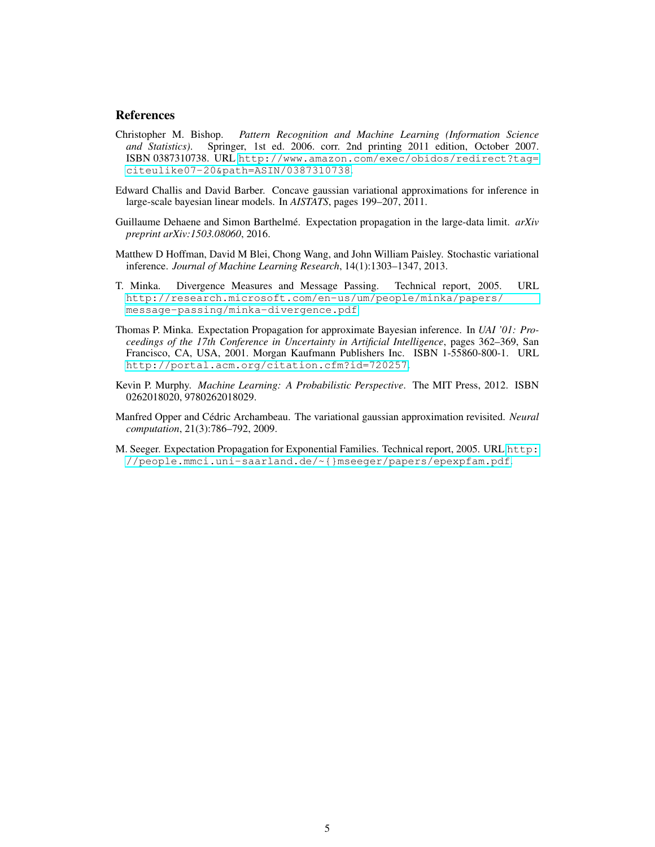#### References

- <span id="page-4-7"></span>Christopher M. Bishop. *Pattern Recognition and Machine Learning (Information Science and Statistics)*. Springer, 1st ed. 2006. corr. 2nd printing 2011 edition, October 2007. ISBN 0387310738. URL [http://www.amazon.com/exec/obidos/redirect?tag=](http://www.amazon.com/exec/obidos/redirect?tag=citeulike07-20&path=ASIN/0387310738) [citeulike07-20&path=ASIN/0387310738](http://www.amazon.com/exec/obidos/redirect?tag=citeulike07-20&path=ASIN/0387310738).
- <span id="page-4-2"></span>Edward Challis and David Barber. Concave gaussian variational approximations for inference in large-scale bayesian linear models. In *AISTATS*, pages 199–207, 2011.
- <span id="page-4-8"></span>Guillaume Dehaene and Simon Barthelmé. Expectation propagation in the large-data limit. *arXiv preprint arXiv:1503.08060*, 2016.
- <span id="page-4-3"></span>Matthew D Hoffman, David M Blei, Chong Wang, and John William Paisley. Stochastic variational inference. *Journal of Machine Learning Research*, 14(1):1303–1347, 2013.
- <span id="page-4-5"></span>T. Minka. Divergence Measures and Message Passing. Technical report, 2005. URL [http://research.microsoft.com/en-us/um/people/minka/papers/](http://research.microsoft.com/en-us/um/people/minka/papers/message-passing/minka-divergence.pdf) [message-passing/minka-divergence.pdf](http://research.microsoft.com/en-us/um/people/minka/papers/message-passing/minka-divergence.pdf).
- <span id="page-4-0"></span>Thomas P. Minka. Expectation Propagation for approximate Bayesian inference. In *UAI '01: Proceedings of the 17th Conference in Uncertainty in Artificial Intelligence*, pages 362–369, San Francisco, CA, USA, 2001. Morgan Kaufmann Publishers Inc. ISBN 1-55860-800-1. URL <http://portal.acm.org/citation.cfm?id=720257>.
- <span id="page-4-1"></span>Kevin P. Murphy. *Machine Learning: A Probabilistic Perspective*. The MIT Press, 2012. ISBN 0262018020, 9780262018029.
- <span id="page-4-4"></span>Manfred Opper and Cédric Archambeau. The variational gaussian approximation revisited. *Neural computation*, 21(3):786–792, 2009.
- <span id="page-4-6"></span>M. Seeger. Expectation Propagation for Exponential Families. Technical report, 2005. URL [http:](http://people.mmci.uni-saarland.de/~{}mseeger/papers/epexpfam.pdf) [//people.mmci.uni-saarland.de/~{}mseeger/papers/epexpfam.pdf](http://people.mmci.uni-saarland.de/~{}mseeger/papers/epexpfam.pdf).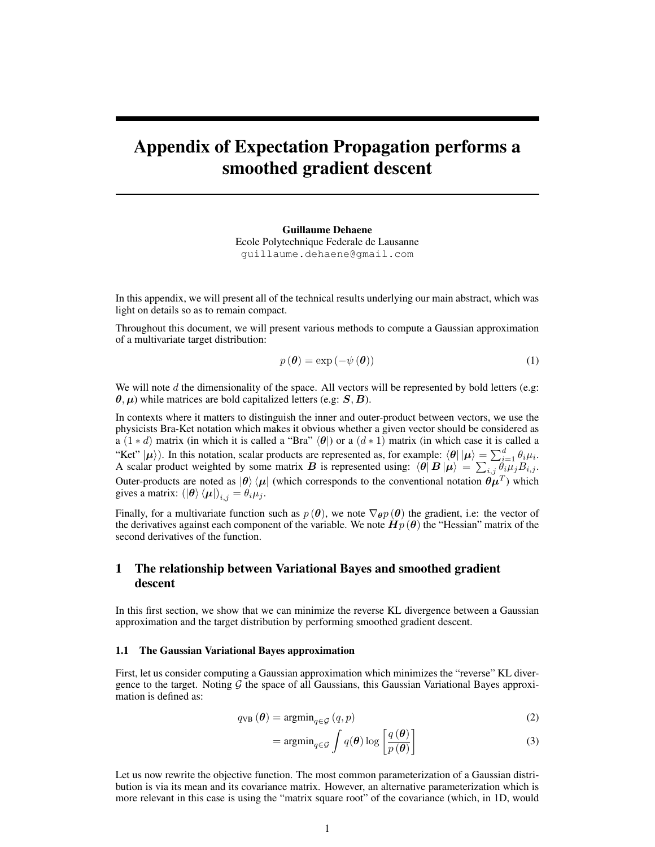# Appendix of Expectation Propagation performs a smoothed gradient descent

Guillaume Dehaene Ecole Polytechnique Federale de Lausanne guillaume.dehaene@gmail.com

In this appendix, we will present all of the technical results underlying our main abstract, which was light on details so as to remain compact.

Throughout this document, we will present various methods to compute a Gaussian approximation of a multivariate target distribution:

$$
p(\boldsymbol{\theta}) = \exp(-\psi(\boldsymbol{\theta})) \tag{1}
$$

We will note  $d$  the dimensionality of the space. All vectors will be represented by bold letters (e.g:  $\theta$ ,  $\mu$ ) while matrices are bold capitalized letters (e.g: S, B).

In contexts where it matters to distinguish the inner and outer-product between vectors, we use the physicists Bra-Ket notation which makes it obvious whether a given vector should be considered as a (1 \* d) matrix (in which it is called a "Bra"  $\langle \theta |$ ) or a (d \* 1) matrix (in which case it is called a "Ket"  $|\mu\rangle$ ). In this notation, scalar products are represented as, for example:  $\langle \theta | |\mu \rangle = \sum_{i=1}^d \theta_i \mu_i$ . A scalar product weighted by some matrix B is represented using:  $\langle \theta | B | \mu \rangle = \sum_{i,j} \dot{\theta_i} \mu_j B_{i,j}$ . Outer-products are noted as  $|\theta\rangle\langle\mu|$  (which corresponds to the conventional notation  $\theta\mu^T$ ) which gives a matrix:  $(\ket{\theta}\bra{\mu})_{i,j} = \theta_i \mu_j$ .

Finally, for a multivariate function such as  $p(\theta)$ , we note  $\nabla_{\theta} p(\theta)$  the gradient, i.e: the vector of the derivatives against each component of the variable. We note  $\mathbf{H}$   $p(\theta)$  the "Hessian" matrix of the second derivatives of the function.

## 1 The relationship between Variational Bayes and smoothed gradient descent

In this first section, we show that we can minimize the reverse KL divergence between a Gaussian approximation and the target distribution by performing smoothed gradient descent.

#### 1.1 The Gaussian Variational Bayes approximation

First, let us consider computing a Gaussian approximation which minimizes the "reverse" KL divergence to the target. Noting  $G$  the space of all Gaussians, this Gaussian Variational Bayes approximation is defined as:

$$
q_{\text{VB}}\left(\boldsymbol{\theta}\right) = \operatorname{argmin}_{q \in \mathcal{G}}\left(q, p\right) \tag{2}
$$

$$
= \operatorname{argmin}_{q \in \mathcal{G}} \int q(\boldsymbol{\theta}) \log \left[ \frac{q(\boldsymbol{\theta})}{p(\boldsymbol{\theta})} \right] \tag{3}
$$

Let us now rewrite the objective function. The most common parameterization of a Gaussian distribution is via its mean and its covariance matrix. However, an alternative parameterization which is more relevant in this case is using the "matrix square root" of the covariance (which, in 1D, would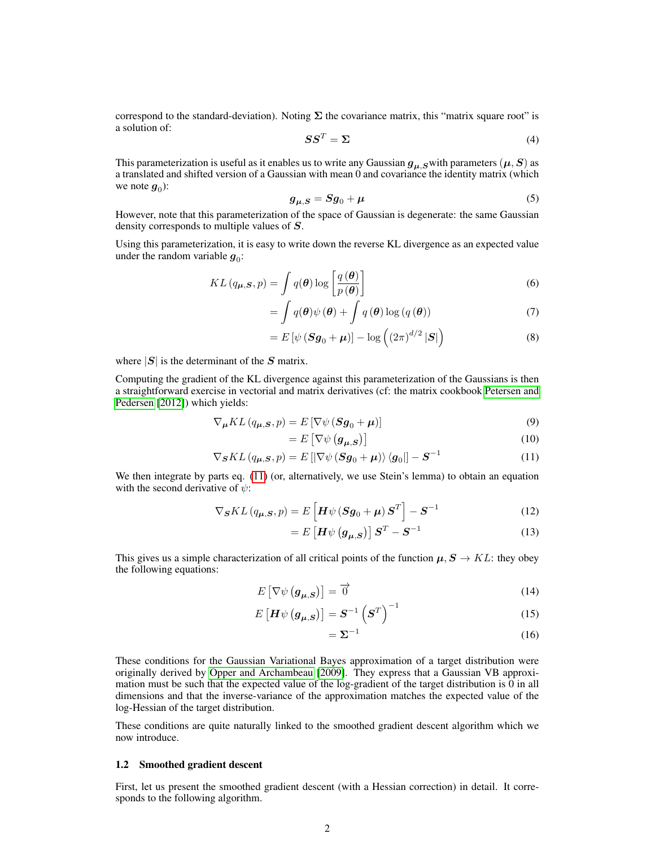correspond to the standard-deviation). Noting  $\Sigma$  the covariance matrix, this "matrix square root" is a solution of:

$$
SS^T = \Sigma \tag{4}
$$

This parameterization is useful as it enables us to write any Gaussian  $g_{\mu,S}$  with parameters  $(\mu,S)$  as a translated and shifted version of a Gaussian with mean 0 and covariance the identity matrix (which we note  $g_0$ ):

$$
g_{\mu,S} = Sg_0 + \mu \tag{5}
$$

However, note that this parameterization of the space of Gaussian is degenerate: the same Gaussian density corresponds to multiple values of S.

Using this parameterization, it is easy to write down the reverse KL divergence as an expected value under the random variable  $g_0$ :

$$
KL\left(q_{\mu,S}, p\right) = \int q(\boldsymbol{\theta}) \log \left[\frac{q(\boldsymbol{\theta})}{p(\boldsymbol{\theta})}\right] \tag{6}
$$

$$
= \int q(\boldsymbol{\theta}) \psi(\boldsymbol{\theta}) + \int q(\boldsymbol{\theta}) \log (q(\boldsymbol{\theta})) \tag{7}
$$

$$
= E\left[\psi\left(\mathbf{S}\mathbf{g}_0 + \boldsymbol{\mu}\right)\right] - \log\left(\left(2\pi\right)^{d/2}|\mathbf{S}|\right) \tag{8}
$$

where  $|S|$  is the determinant of the S matrix.

Computing the gradient of the KL divergence against this parameterization of the Gaussians is then a straightforward exercise in vectorial and matrix derivatives (cf: the matrix cookbook [Petersen and](#page-13-0) [Pedersen](#page-13-0) [\[2012\]](#page-13-0)) which yields:

$$
\nabla_{\mu} KL(q_{\mu,S}, p) = E \left[ \nabla \psi \left( Sg_0 + \mu \right) \right] \tag{9}
$$

<span id="page-6-0"></span>
$$
=E\left[\nabla\psi\left(\mathbf{g}_{\mu,S}\right)\right]
$$
 (10)

$$
\nabla_{\mathbf{S}} KL\left(q_{\mu,\mathbf{S}},p\right) = E\left[\left|\nabla\psi\left(\mathbf{S}\mathbf{g}_0 + \mu\right)\right\rangle\left\langle\mathbf{g}_0\right|\right] - \mathbf{S}^{-1} \tag{11}
$$

We then integrate by parts eq. [\(11\)](#page-6-0) (or, alternatively, we use Stein's lemma) to obtain an equation with the second derivative of  $\psi$ :

$$
\nabla_{\mathbf{S}} KL\left(q_{\boldsymbol{\mu},\mathbf{S}},p\right) = E\left[\boldsymbol{H}\psi\left(\mathbf{S}\boldsymbol{g}_0 + \boldsymbol{\mu}\right)\mathbf{S}^T\right] - \mathbf{S}^{-1} \tag{12}
$$

$$
= E\left[\boldsymbol{H}\psi\left(\boldsymbol{g}_{\mu,S}\right)\right]\boldsymbol{S}^{T} - \boldsymbol{S}^{-1} \tag{13}
$$

This gives us a simple characterization of all critical points of the function  $\mu$ ,  $S \to KL$ : they obey the following equations:

$$
E\left[\nabla\psi\left(\mathbf{g}_{\mu,S}\right)\right]=\overrightarrow{0}\tag{14}
$$

$$
E\left[\boldsymbol{H}\psi\left(\boldsymbol{g}_{\boldsymbol{\mu},\boldsymbol{S}}\right)\right] = \boldsymbol{S}^{-1}\left(\boldsymbol{S}^{T}\right)^{-1} \tag{15}
$$

<span id="page-6-2"></span><span id="page-6-1"></span>
$$
=\Sigma^{-1} \tag{16}
$$

These conditions for the Gaussian Variational Bayes approximation of a target distribution were originally derived by [Opper and Archambeau](#page-13-1) [\[2009\]](#page-13-1). They express that a Gaussian VB approximation must be such that the expected value of the log-gradient of the target distribution is 0 in all dimensions and that the inverse-variance of the approximation matches the expected value of the log-Hessian of the target distribution.

These conditions are quite naturally linked to the smoothed gradient descent algorithm which we now introduce.

#### 1.2 Smoothed gradient descent

First, let us present the smoothed gradient descent (with a Hessian correction) in detail. It corresponds to the following algorithm.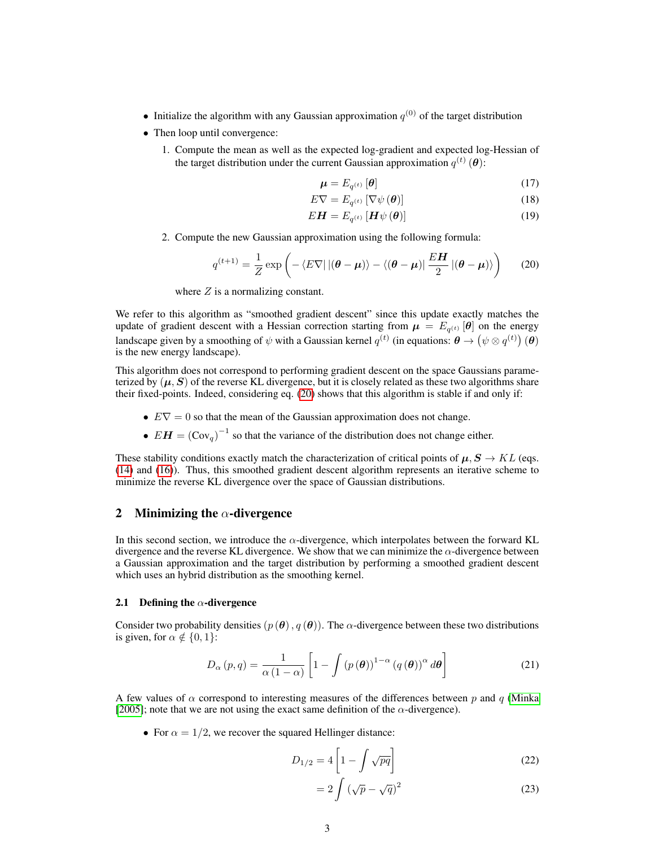- Initialize the algorithm with any Gaussian approximation  $q^{(0)}$  of the target distribution
- Then loop until convergence:
	- 1. Compute the mean as well as the expected log-gradient and expected log-Hessian of the target distribution under the current Gaussian approximation  $q^{(t)}(\boldsymbol{\theta})$ :

$$
\boldsymbol{\mu} = E_{q^{(t)}}\left[\boldsymbol{\theta}\right] \tag{17}
$$

$$
E\nabla = E_{q^{(t)}}\left[\nabla\psi\left(\boldsymbol{\theta}\right)\right]
$$
\n(18)

$$
E\mathbf{H} = E_{q^{(t)}}\left[\mathbf{H}\psi\left(\boldsymbol{\theta}\right)\right]
$$
 (19)

2. Compute the new Gaussian approximation using the following formula:

<span id="page-7-0"></span>
$$
q^{(t+1)} = \frac{1}{Z} \exp\left(-\langle E\nabla| \left|(\boldsymbol{\theta} - \boldsymbol{\mu})\rangle - \langle(\boldsymbol{\theta} - \boldsymbol{\mu})| \frac{E\boldsymbol{H}}{2} \left|(\boldsymbol{\theta} - \boldsymbol{\mu})\rangle\right|\right) \tag{20}
$$

where  $Z$  is a normalizing constant.

We refer to this algorithm as "smoothed gradient descent" since this update exactly matches the update of gradient descent with a Hessian correction starting from  $\mu = E_{q^{(t)}}[\theta]$  on the energy landscape given by a smoothing of  $\psi$  with a Gaussian kernel  $q^{(t)}$  (in equations:  $\theta \to (\psi \otimes q^{(t)}) (\theta)$ is the new energy landscape).

This algorithm does not correspond to performing gradient descent on the space Gaussians parameterized by  $(\mu, S)$  of the reverse KL divergence, but it is closely related as these two algorithms share their fixed-points. Indeed, considering eq. [\(20\)](#page-7-0) shows that this algorithm is stable if and only if:

- $E\nabla = 0$  so that the mean of the Gaussian approximation does not change.
- $EH = (Cov_q)^{-1}$  so that the variance of the distribution does not change either.

These stability conditions exactly match the characterization of critical points of  $\mu$ ,  $S \rightarrow KL$  (eqs. [\(14\)](#page-6-1) and [\(16\)](#page-6-2)). Thus, this smoothed gradient descent algorithm represents an iterative scheme to minimize the reverse KL divergence over the space of Gaussian distributions.

#### 2 Minimizing the  $\alpha$ -divergence

In this second section, we introduce the  $\alpha$ -divergence, which interpolates between the forward KL divergence and the reverse KL divergence. We show that we can minimize the  $\alpha$ -divergence between a Gaussian approximation and the target distribution by performing a smoothed gradient descent which uses an hybrid distribution as the smoothing kernel.

## 2.1 Defining the  $\alpha$ -divergence

Consider two probability densities  $(p(\theta), q(\theta))$ . The  $\alpha$ -divergence between these two distributions is given, for  $\alpha \notin \{0, 1\}$ :

$$
D_{\alpha}(p,q) = \frac{1}{\alpha(1-\alpha)} \left[ 1 - \int (p(\boldsymbol{\theta}))^{1-\alpha} (q(\boldsymbol{\theta}))^{\alpha} d\boldsymbol{\theta} \right]
$$
 (21)

A few values of  $\alpha$  correspond to interesting measures of the differences between p and q [\(Minka](#page-13-2) [\[2005\]](#page-13-2); note that we are not using the exact same definition of the  $\alpha$ -divergence).

• For  $\alpha = 1/2$ , we recover the squared Hellinger distance:

$$
D_{1/2} = 4 \left[ 1 - \int \sqrt{pq} \right] \tag{22}
$$

$$
=2\int \left(\sqrt{p}-\sqrt{q}\right)^2\tag{23}
$$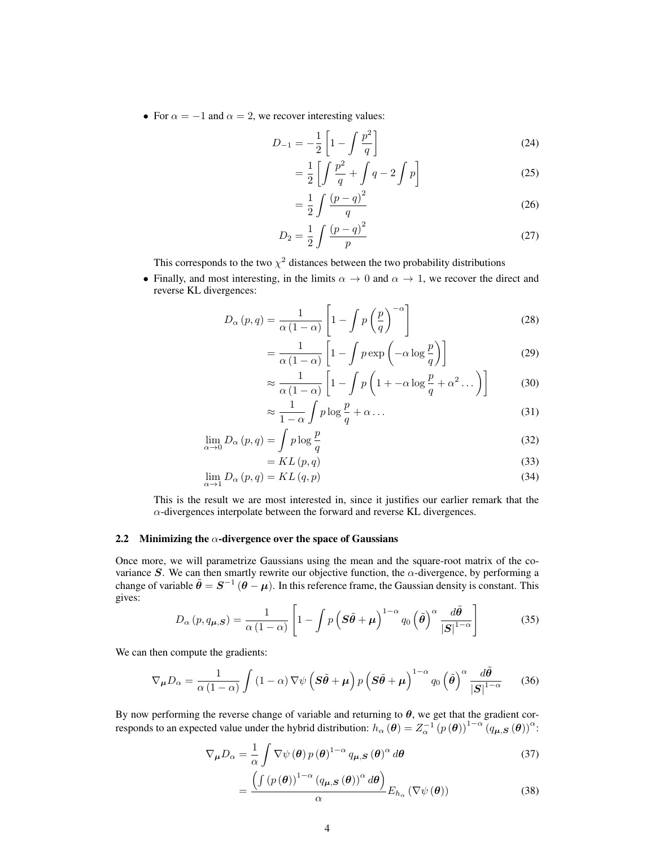• For  $\alpha = -1$  and  $\alpha = 2$ , we recover interesting values:

$$
D_{-1} = -\frac{1}{2} \left[ 1 - \int \frac{p^2}{q} \right]
$$
 (24)

$$
= \frac{1}{2} \left[ \int \frac{p^2}{q} + \int q - 2 \int p \right]
$$
 (25)

$$
=\frac{1}{2}\int \frac{(p-q)^2}{q}
$$
\n(26)

$$
D_2 = \frac{1}{2} \int \frac{(p-q)^2}{p}
$$
 (27)

This corresponds to the two  $\chi^2$  distances between the two probability distributions

• Finally, and most interesting, in the limits  $\alpha \to 0$  and  $\alpha \to 1$ , we recover the direct and reverse KL divergences:

$$
D_{\alpha}(p,q) = \frac{1}{\alpha(1-\alpha)} \left[ 1 - \int p\left(\frac{p}{q}\right)^{-\alpha} \right]
$$
 (28)

$$
= \frac{1}{\alpha \left(1 - \alpha\right)} \left[1 - \int p \exp\left(-\alpha \log \frac{p}{q}\right)\right]
$$
(29)

$$
\approx \frac{1}{\alpha \left(1 - \alpha\right)} \left[1 - \int p \left(1 + -\alpha \log \frac{p}{q} + \alpha^2 \dots \right)\right] \tag{30}
$$

$$
\approx \frac{1}{1-\alpha} \int p \log \frac{p}{q} + \alpha \dots \tag{31}
$$

$$
\lim_{\alpha \to 0} D_{\alpha}(p, q) = \int p \log \frac{p}{q}
$$
\n(32)

$$
= KL(p, q) \tag{33}
$$

$$
\lim_{\alpha \to 1} D_{\alpha}(p, q) = KL(q, p) \tag{34}
$$

This is the result we are most interested in, since it justifies our earlier remark that the  $\alpha$ -divergences interpolate between the forward and reverse KL divergences.

#### 2.2 Minimizing the  $\alpha$ -divergence over the space of Gaussians

Once more, we will parametrize Gaussians using the mean and the square-root matrix of the covariance S. We can then smartly rewrite our objective function, the  $\alpha$ -divergence, by performing a change of variable  $\tilde{\theta} = S^{-1} (\theta - \mu)$ . In this reference frame, the Gaussian density is constant. This gives:

$$
D_{\alpha}(p,q_{\mu,S}) = \frac{1}{\alpha(1-\alpha)} \left[ 1 - \int p\left(\mathbf{S}\tilde{\boldsymbol{\theta}} + \boldsymbol{\mu}\right)^{1-\alpha} q_0\left(\tilde{\boldsymbol{\theta}}\right)^{\alpha} \frac{d\tilde{\boldsymbol{\theta}}}{|\mathbf{S}|^{1-\alpha}} \right]
$$
(35)

We can then compute the gradients:

$$
\nabla_{\mu} D_{\alpha} = \frac{1}{\alpha \left(1 - \alpha\right)} \int \left(1 - \alpha\right) \nabla \psi \left(\mathbf{S} \tilde{\boldsymbol{\theta}} + \mu\right) p \left(\mathbf{S} \tilde{\boldsymbol{\theta}} + \mu\right)^{1 - \alpha} q_0 \left(\tilde{\boldsymbol{\theta}}\right)^{\alpha} \frac{d\tilde{\boldsymbol{\theta}}}{|\mathbf{S}|^{1 - \alpha}} \tag{36}
$$

By now performing the reverse change of variable and returning to  $\theta$ , we get that the gradient corresponds to an expected value under the hybrid distribution:  $h_{\alpha}(\theta) = Z_{\alpha}^{-1} (p(\theta))^{1-\alpha} (q_{\mu,S}(\theta))^{\alpha}$ .

$$
\nabla_{\mu} D_{\alpha} = \frac{1}{\alpha} \int \nabla \psi \left( \boldsymbol{\theta} \right) p \left( \boldsymbol{\theta} \right)^{1-\alpha} q_{\mu, S} \left( \boldsymbol{\theta} \right)^{\alpha} d\boldsymbol{\theta}
$$
(37)

$$
= \frac{\left(\int \left(p\left(\boldsymbol{\theta}\right)\right)^{1-\alpha}\left(q_{\boldsymbol{\mu},\boldsymbol{S}}\left(\boldsymbol{\theta}\right)\right)^{\alpha}d\boldsymbol{\theta}\right)}{\alpha}E_{h_{\alpha}}\left(\nabla\psi\left(\boldsymbol{\theta}\right)\right) \tag{38}
$$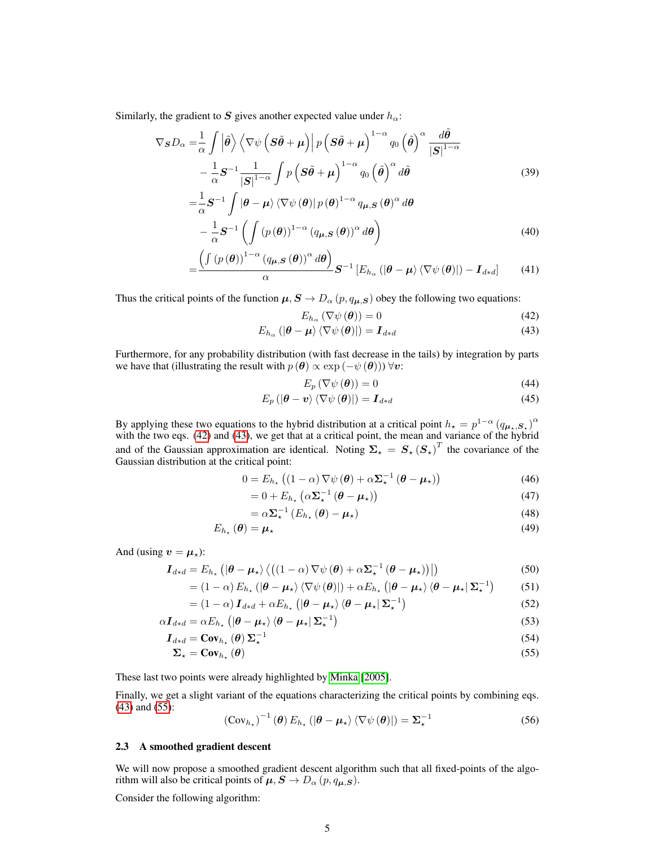Similarly, the gradient to S gives another expected value under  $h_{\alpha}$ :

$$
\nabla_{\mathbf{S}}D_{\alpha} = \frac{1}{\alpha} \int \left| \tilde{\boldsymbol{\theta}} \right\rangle \left\langle \nabla \psi \left( \mathbf{S} \tilde{\boldsymbol{\theta}} + \boldsymbol{\mu} \right) \right| p \left( \mathbf{S} \tilde{\boldsymbol{\theta}} + \boldsymbol{\mu} \right)^{1-\alpha} q_0 \left( \tilde{\boldsymbol{\theta}} \right)^{\alpha} \frac{d \tilde{\boldsymbol{\theta}}}{|\mathbf{S}|^{1-\alpha}} - \frac{1}{\alpha} \mathbf{S}^{-1} \frac{1}{|\mathbf{S}|^{1-\alpha}} \int p \left( \mathbf{S} \tilde{\boldsymbol{\theta}} + \boldsymbol{\mu} \right)^{1-\alpha} q_0 \left( \tilde{\boldsymbol{\theta}} \right)^{\alpha} d\tilde{\boldsymbol{\theta}} \tag{39}
$$

$$
= \frac{1}{\alpha} S^{-1} \int |\boldsymbol{\theta} - \boldsymbol{\mu}| \langle \nabla \psi (\boldsymbol{\theta}) | p(\boldsymbol{\theta})^{1-\alpha} q_{\boldsymbol{\mu}, \mathbf{S}} (\boldsymbol{\theta})^{\alpha} d\boldsymbol{\theta} - \frac{1}{\alpha} S^{-1} \left( \int (p(\boldsymbol{\theta}))^{1-\alpha} (q_{\boldsymbol{\mu}, \mathbf{S}} (\boldsymbol{\theta}))^{\alpha} d\boldsymbol{\theta} \right)
$$
(40)

$$
-\frac{\left(\int \left(p\left(\boldsymbol{\theta}\right)\right)^{1-\alpha}\left(q_{\boldsymbol{\mu},\boldsymbol{S}}\left(\boldsymbol{\theta}\right)\right)^{\alpha}d\boldsymbol{\theta}\right)}{\alpha}\boldsymbol{S}^{-1}\left[E_{h_{\alpha}}\left(|\boldsymbol{\theta}-\boldsymbol{\mu}\rangle\left\langle\nabla\psi\left(\boldsymbol{\theta}\right)\right|\right)-\boldsymbol{I}_{d*d}\right]
$$
(41)

Thus the critical points of the function  $\mu$ ,  $S \to D_\alpha$  ( $p$ ,  $q_{\mu,S}$ ) obey the following two equations:

<span id="page-9-1"></span><span id="page-9-0"></span>
$$
E_{h_{\alpha}}\left(\nabla\psi\left(\boldsymbol{\theta}\right)\right)=0\tag{42}
$$

$$
E_{h_{\alpha}}\left(|\boldsymbol{\theta}-\boldsymbol{\mu}\rangle\left\langle\nabla\psi\left(\boldsymbol{\theta}\right)\right|\right)=\boldsymbol{I}_{d*d}\tag{43}
$$

Furthermore, for any probability distribution (with fast decrease in the tails) by integration by parts we have that (illustrating the result with  $p(\theta) \propto \exp(-\psi(\theta)) \,\forall \mathbf{v}$ :

$$
E_p(\nabla\psi(\boldsymbol{\theta})) = 0\tag{44}
$$

$$
E_p\left(\left|\boldsymbol{\theta}-\boldsymbol{v}\right>\left<\nabla\psi\left(\boldsymbol{\theta}\right)\right|\right)=\boldsymbol{I}_{d*d} \tag{45}
$$

By applying these two equations to the hybrid distribution at a critical point  $h_x = p^{1-\alpha} (q_{\mu_x, S_x})^{\alpha}$ with the two eqs. [\(42\)](#page-9-0) and [\(43\)](#page-9-1), we get that at a critical point, the mean and variance of the hybrid and of the Gaussian approximation are identical. Noting  $\Sigma_{\star} = S_{\star} (S_{\star})^T$  the covariance of the Gaussian distribution at the critical point:

$$
0 = E_{h_{\star}} \left( \left( 1 - \alpha \right) \nabla \psi \left( \boldsymbol{\theta} \right) + \alpha \Sigma_{\star}^{-1} \left( \boldsymbol{\theta} - \boldsymbol{\mu}_{\star} \right) \right) \tag{46}
$$

$$
= 0 + E_{h_{\star}} \left( \alpha \Sigma_{\star}^{-1} \left( \boldsymbol{\theta} - \boldsymbol{\mu}_{\star} \right) \right) \tag{47}
$$

$$
=\alpha\Sigma_{\star}^{-1}\left(E_{h_{\star}}\left(\boldsymbol{\theta}\right)-\boldsymbol{\mu}_{\star}\right)
$$
\n(48)

$$
E_{h_{\star}}\left(\boldsymbol{\theta}\right)=\boldsymbol{\mu}_{\star}\tag{49}
$$

And (using  $v = \mu_+$ ):

=

$$
\boldsymbol{I}_{d*d} = E_{h_\star} \left( |\boldsymbol{\theta} - \boldsymbol{\mu}_\star\rangle \left\langle \left( (1 - \alpha) \nabla \psi \left( \boldsymbol{\theta} \right) + \alpha \boldsymbol{\Sigma}_\star^{-1} \left( \boldsymbol{\theta} - \boldsymbol{\mu}_\star \right) \right) \right| \right) \tag{50}
$$

$$
= (1 - \alpha) E_{h_{\star}} \left( \left| \boldsymbol{\theta} - \boldsymbol{\mu}_{\star} \right) \langle \nabla \psi \left( \boldsymbol{\theta} \right) \right| \right) + \alpha E_{h_{\star}} \left( \left| \boldsymbol{\theta} - \boldsymbol{\mu}_{\star} \right\rangle \langle \boldsymbol{\theta} - \boldsymbol{\mu}_{\star} | \boldsymbol{\Sigma}_{\star}^{-1} \right) \tag{51}
$$

$$
= (1 - \alpha) \mathbf{I}_{d*d} + \alpha E_{h_\star} \left( \left| \boldsymbol{\theta} - \boldsymbol{\mu}_\star \right\rangle \left\langle \boldsymbol{\theta} - \boldsymbol{\mu}_\star \right| \boldsymbol{\Sigma}_\star^{-1} \right) \tag{52}
$$

$$
\alpha \boldsymbol{I}_{d*d} = \alpha E_{h_\star} \left( |\boldsymbol{\theta} - \boldsymbol{\mu}_\star \rangle \langle \boldsymbol{\theta} - \boldsymbol{\mu}_\star | \boldsymbol{\Sigma}_\star^{-1} \right) \tag{53}
$$

$$
I_{d*d} = \text{Cov}_{h_{\star}}(\theta) \Sigma_{\star}^{-1} \tag{54}
$$

$$
\Sigma_{\star} = \text{Cov}_{h_{\star}}(\theta) \tag{55}
$$

These last two points were already highlighted by [Minka](#page-13-2) [\[2005\]](#page-13-2).

Finally, we get a slight variant of the equations characterizing the critical points by combining eqs. [\(43\)](#page-9-1) and [\(55\)](#page-9-2):

<span id="page-9-3"></span><span id="page-9-2"></span>
$$
(\text{Cov}_{h_{\star}})^{-1}(\boldsymbol{\theta}) E_{h_{\star}}(|\boldsymbol{\theta} - \boldsymbol{\mu}_{\star}\rangle \langle \nabla \psi(\boldsymbol{\theta})|) = \boldsymbol{\Sigma}_{\star}^{-1}
$$
 (56)

## 2.3 A smoothed gradient descent

We will now propose a smoothed gradient descent algorithm such that all fixed-points of the algorithm will also be critical points of  $\mu$ ,  $S \to D_{\alpha}$   $(p, q_{\mu,S})$ .

Consider the following algorithm: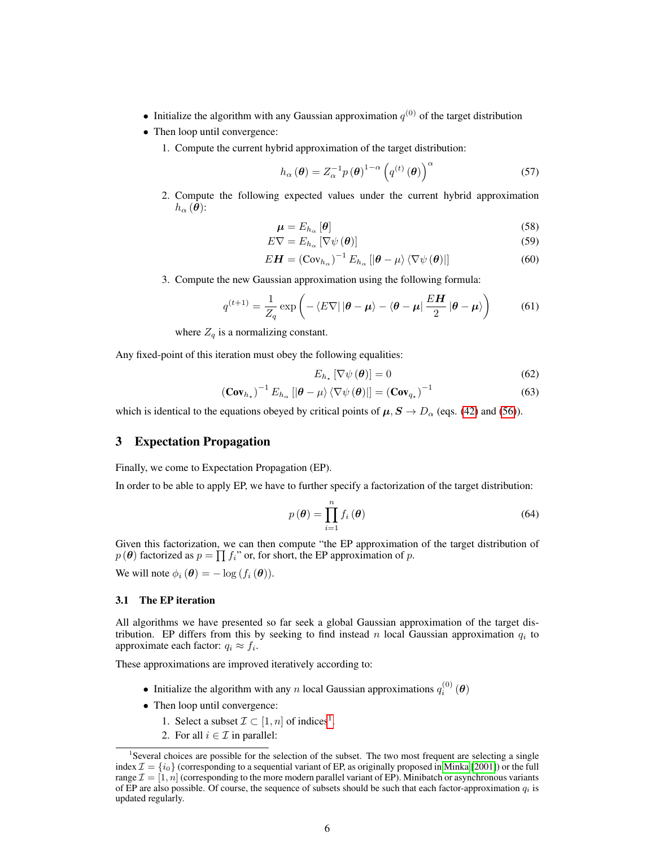- Initialize the algorithm with any Gaussian approximation  $q^{(0)}$  of the target distribution
- Then loop until convergence:
	- 1. Compute the current hybrid approximation of the target distribution:

$$
h_{\alpha}(\boldsymbol{\theta}) = Z_{\alpha}^{-1} p(\boldsymbol{\theta})^{1-\alpha} \left( q^{(t)}(\boldsymbol{\theta}) \right)^{\alpha} \tag{57}
$$

2. Compute the following expected values under the current hybrid approximation  $h_{\alpha}(\boldsymbol{\theta})$ :

$$
\boldsymbol{\mu} = E_{h_{\alpha}} \left[ \boldsymbol{\theta} \right] \tag{58}
$$

$$
E\nabla = E_{h_{\alpha}}\left[\nabla\psi\left(\boldsymbol{\theta}\right)\right]
$$
 (59)

$$
E\boldsymbol{H} = \left(\operatorname{Cov}_{h_{\alpha}}\right)^{-1} E_{h_{\alpha}}\left[\left|\boldsymbol{\theta} - \mu\right\rangle \left\langle \nabla \psi\left(\boldsymbol{\theta}\right)\right|\right]
$$
 (60)

3. Compute the new Gaussian approximation using the following formula:

$$
q^{(t+1)} = \frac{1}{Z_q} \exp\left(-\langle E\nabla||\boldsymbol{\theta} - \boldsymbol{\mu}\rangle - \langle \boldsymbol{\theta} - \boldsymbol{\mu}|\frac{E\boldsymbol{H}}{2}|\boldsymbol{\theta} - \boldsymbol{\mu}\rangle\right) \tag{61}
$$

where 
$$
Z_q
$$
 is a normalizing constant.

Any fixed-point of this iteration must obey the following equalities:

$$
E_{h_{\star}}\left[\nabla\psi\left(\boldsymbol{\theta}\right)\right]=0\tag{62}
$$

$$
(\mathbf{Cov}_{h_{\star}})^{-1} E_{h_{\alpha}} \left[ |\boldsymbol{\theta} - \mu \rangle \langle \nabla \psi (\boldsymbol{\theta}) | \right] = (\mathbf{Cov}_{q_{\star}})^{-1}
$$
(63)

which is identical to the equations obeyed by critical points of  $\mu$ ,  $S \to D_\alpha$  (eqs. [\(42\)](#page-9-0) and [\(56\)](#page-9-3)).

## 3 Expectation Propagation

Finally, we come to Expectation Propagation (EP).

In order to be able to apply EP, we have to further specify a factorization of the target distribution:

$$
p(\boldsymbol{\theta}) = \prod_{i=1}^{n} f_i(\boldsymbol{\theta})
$$
\n(64)

Given this factorization, we can then compute "the EP approximation of the target distribution of  $p(\theta)$  factorized as  $p = \prod f_i$ " or, for short, the EP approximation of p.

We will note  $\phi_i(\boldsymbol{\theta}) = -\log(f_i(\boldsymbol{\theta})).$ 

#### 3.1 The EP iteration

All algorithms we have presented so far seek a global Gaussian approximation of the target distribution. EP differs from this by seeking to find instead n local Gaussian approximation  $q_i$  to approximate each factor:  $q_i \approx f_i$ .

These approximations are improved iteratively according to:

- Initialize the algorithm with any n local Gaussian approximations  $q_i^{(0)}(\boldsymbol{\theta})$
- Then loop until convergence:
	- [1](#page-10-0). Select a subset  $\mathcal{I} \subset [1, n]$  of indices<sup>1</sup>.
	- 2. For all  $i \in \mathcal{I}$  in parallel:

<span id="page-10-0"></span><sup>&</sup>lt;sup>1</sup>Several choices are possible for the selection of the subset. The two most frequent are selecting a single index  $\mathcal{I} = \{i_0\}$  (corresponding to a sequential variant of EP, as originally proposed in [Minka](#page-13-3) [\[2001\]](#page-13-3)) or the full range  $\mathcal{I} = [1, n]$  (corresponding to the more modern parallel variant of EP). Minibatch or asynchronous variants of EP are also possible. Of course, the sequence of subsets should be such that each factor-approximation  $q_i$  is updated regularly.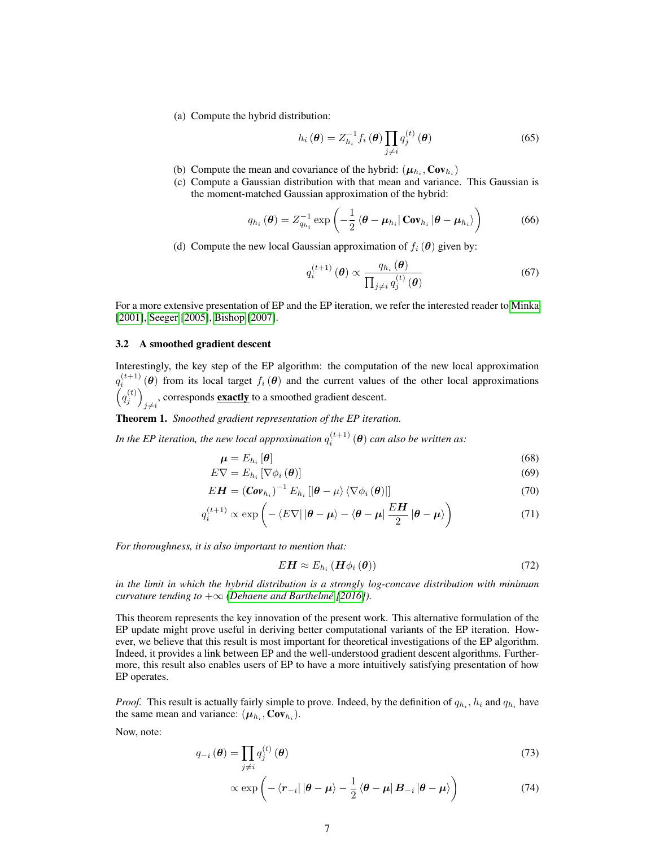(a) Compute the hybrid distribution:

$$
h_i(\boldsymbol{\theta}) = Z_{h_i}^{-1} f_i(\boldsymbol{\theta}) \prod_{j \neq i} q_j^{(t)}(\boldsymbol{\theta})
$$
 (65)

- (b) Compute the mean and covariance of the hybrid:  $(\mu_{h_i}, \text{Cov}_{h_i})$
- (c) Compute a Gaussian distribution with that mean and variance. This Gaussian is the moment-matched Gaussian approximation of the hybrid:

$$
q_{h_i}(\boldsymbol{\theta}) = Z_{q_{h_i}}^{-1} \exp\left(-\frac{1}{2} \left\langle \boldsymbol{\theta} - \boldsymbol{\mu}_{h_i} \right| \mathbf{Cov}_{h_i} \left| \boldsymbol{\theta} - \boldsymbol{\mu}_{h_i} \right\rangle\right) \tag{66}
$$

(d) Compute the new local Gaussian approximation of  $f_i(\theta)$  given by:

$$
q_i^{(t+1)}(\boldsymbol{\theta}) \propto \frac{q_{h_i}(\boldsymbol{\theta})}{\prod_{j \neq i} q_j^{(t)}(\boldsymbol{\theta})}
$$
(67)

For a more extensive presentation of EP and the EP iteration, we refer the interested reader to [Minka](#page-13-3) [\[2001\]](#page-13-3), [Seeger](#page-13-4) [\[2005\]](#page-13-4), [Bishop](#page-13-5) [\[2007\]](#page-13-5).

#### 3.2 A smoothed gradient descent

Interestingly, the key step of the EP algorithm: the computation of the new local approximation  $q_i^{(t+1)}(\theta)$  from its local target  $f_i(\theta)$  and the current values of the other local approximations  $\left(q_j^{(t)}\right)$ , corresponds **exactly** to a smoothed gradient descent.

Theorem 1. *Smoothed gradient representation of the EP iteration.*

In the EP iteration, the new local approximation  $q_{i}^{(t+1)}\left(\boldsymbol{\theta}\right)$  can also be written as:

$$
\mu = E_{h_i} [\theta] \tag{68}
$$
  
\n
$$
E \nabla = E_{h_i} [\nabla \phi_i (\theta)] \tag{69}
$$

$$
EH = \left(Cov_{h_i}\right)^{-1} E_{h_i} \left[ \left|\theta - \mu\right\rangle \left\langle \nabla \phi_i \left(\theta\right) \right| \right] \tag{70}
$$

$$
q_i^{(t+1)} \propto \exp\left(-\langle E\nabla|\left|\boldsymbol{\theta}-\boldsymbol{\mu}\right\rangle - \langle\boldsymbol{\theta}-\boldsymbol{\mu}|\frac{E\boldsymbol{H}}{2}\left|\boldsymbol{\theta}-\boldsymbol{\mu}\right\rangle\right) \tag{71}
$$

*For thoroughness, it is also important to mention that:*

$$
E\mathbf{H} \approx E_{h_i} \left( \mathbf{H} \phi_i \left( \boldsymbol{\theta} \right) \right) \tag{72}
$$

*in the limit in which the hybrid distribution is a strongly log-concave distribution with minimum curvature tending to*  $+\infty$  *[\(Dehaene and Barthelmé](#page-13-6)* [\[2016\]](#page-13-6)).

This theorem represents the key innovation of the present work. This alternative formulation of the EP update might prove useful in deriving better computational variants of the EP iteration. However, we believe that this result is most important for theoretical investigations of the EP algorithm. Indeed, it provides a link between EP and the well-understood gradient descent algorithms. Furthermore, this result also enables users of EP to have a more intuitively satisfying presentation of how EP operates.

*Proof.* This result is actually fairly simple to prove. Indeed, by the definition of  $q_{h_i}$ ,  $h_i$  and  $q_{h_i}$  have the same mean and variance:  $(\mu_{h_i}, \text{Cov}_{h_i})$ .

Now, note:

$$
q_{-i}(\boldsymbol{\theta}) = \prod_{j \neq i} q_j^{(t)}(\boldsymbol{\theta})
$$
\n(73)

$$
\propto \exp\left(-\left\langle \boldsymbol{r}_{-i}\right| |\boldsymbol{\theta} - \boldsymbol{\mu}\rangle - \frac{1}{2}\left\langle \boldsymbol{\theta} - \boldsymbol{\mu}|\boldsymbol{B}_{-i}| \boldsymbol{\theta} - \boldsymbol{\mu}\right\rangle\right) \tag{74}
$$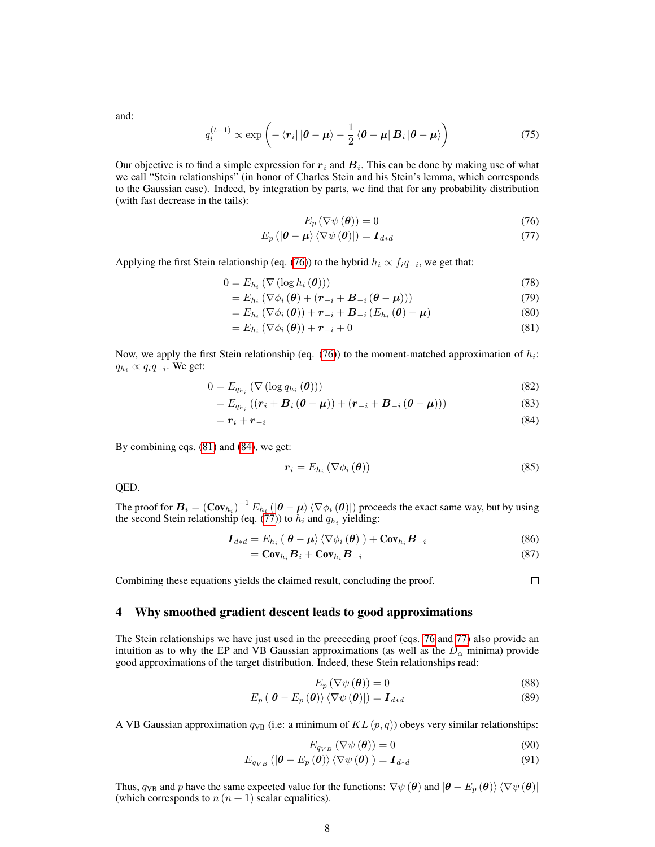and:

$$
q_i^{(t+1)} \propto \exp\left(-\left\langle \mathbf{r}_i\right| |\boldsymbol{\theta} - \boldsymbol{\mu}\rangle - \frac{1}{2} \left\langle \boldsymbol{\theta} - \boldsymbol{\mu}|\,\boldsymbol{B}_i\,|\boldsymbol{\theta} - \boldsymbol{\mu}\right\rangle\right) \tag{75}
$$

Our objective is to find a simple expression for  $r_i$  and  $B_i$ . This can be done by making use of what we call "Stein relationships" (in honor of Charles Stein and his Stein's lemma, which corresponds to the Gaussian case). Indeed, by integration by parts, we find that for any probability distribution (with fast decrease in the tails):

<span id="page-12-3"></span><span id="page-12-1"></span><span id="page-12-0"></span>
$$
E_p(\nabla\psi(\boldsymbol{\theta})) = 0\tag{76}
$$

$$
E_p\left(\left|\boldsymbol{\theta}-\boldsymbol{\mu}\right\rangle\left\langle\nabla\psi\left(\boldsymbol{\theta}\right)\right|\right)=\boldsymbol{I}_{d*d} \tag{77}
$$

Applying the first Stein relationship (eq. [\(76\)](#page-12-0)) to the hybrid  $h_i \propto f_i q_{-i}$ , we get that:

$$
0 = E_{h_i} \left( \nabla \left( \log h_i \left( \boldsymbol{\theta} \right) \right) \right) \tag{78}
$$
\n
$$
E_{h_i} \left( \nabla^{\perp} \left( \mathcal{A} \right) \right) \left( \pi - \mathcal{A} \right) \mathcal{B} \tag{79}
$$

$$
= E_{h_i} \left( \nabla \phi_i \left( \boldsymbol{\theta} \right) + \left( \boldsymbol{r}_{-i} + \boldsymbol{B}_{-i} \left( \boldsymbol{\theta} - \boldsymbol{\mu} \right) \right) \right) \tag{79}
$$

$$
=E_{h_i}\left(\nabla\phi_i\left(\boldsymbol{\theta}\right)\right)+\boldsymbol{r}_{-i}+\boldsymbol{B}_{-i}\left(E_{h_i}\left(\boldsymbol{\theta}\right)-\boldsymbol{\mu}\right) \tag{80}
$$

$$
=E_{h_i}\left(\nabla\phi_i\left(\boldsymbol{\theta}\right)\right)+\boldsymbol{r}_{-i}+0\tag{81}
$$

Now, we apply the first Stein relationship (eq.  $(76)$ ) to the moment-matched approximation of  $h_i$ :  $q_{h_i} \propto q_i q_{-i}$ . We get:

$$
0 = E_{q_{h_i}}\left(\nabla\left(\log q_{h_i}\left(\boldsymbol{\theta}\right)\right)\right) \tag{82}
$$

$$
=E_{q_{h_i}}\left(\left(\mathbf{r}_i+\mathbf{B}_i\left(\boldsymbol{\theta}-\boldsymbol{\mu}\right)\right)+\left(\mathbf{r}_{-i}+\mathbf{B}_{-i}\left(\boldsymbol{\theta}-\boldsymbol{\mu}\right)\right)\right) \tag{83}
$$

$$
= \boldsymbol{r}_i + \boldsymbol{r}_{-i} \tag{84}
$$

By combining eqs. [\(81\)](#page-12-1) and [\(84\)](#page-12-2), we get:

$$
\boldsymbol{r}_i = E_{h_i} \left( \nabla \phi_i \left( \boldsymbol{\theta} \right) \right) \tag{85}
$$

QED.

The proof for  $B_i = (Cov_{h_i})^{-1} E_{h_i} (\ket{\theta - \mu}\bra{\nabla \phi_i(\theta)})$  proceeds the exact same way, but by using the second Stein relationship (eq. [\(77\)](#page-12-3)) to  $h_i$  and  $q_{h_i}$  yielding:

$$
\boldsymbol{I}_{d*d} = E_{h_i} \left( \left| \boldsymbol{\theta} - \boldsymbol{\mu} \right\rangle \left\langle \nabla \phi_i \left( \boldsymbol{\theta} \right) \right| \right) + \mathbf{Cov}_{h_i} \boldsymbol{B}_{-i} \tag{86}
$$

$$
= \mathbf{Cov}_{h_i} \mathbf{B}_i + \mathbf{Cov}_{h_i} \mathbf{B}_{-i} \tag{87}
$$

Combining these equations yields the claimed result, concluding the proof.

## <span id="page-12-2"></span> $\Box$

## 4 Why smoothed gradient descent leads to good approximations

The Stein relationships we have just used in the preceeding proof (eqs. [76](#page-12-0) and [77\)](#page-12-3) also provide an intuition as to why the EP and VB Gaussian approximations (as well as the  $D_{\alpha}$  minima) provide good approximations of the target distribution. Indeed, these Stein relationships read:

$$
E_p(\nabla\psi(\boldsymbol{\theta})) = 0 \tag{88}
$$

$$
E_p\left(\left|\boldsymbol{\theta}-E_p\left(\boldsymbol{\theta}\right)\right\rangle\left\langle\nabla\psi\left(\boldsymbol{\theta}\right)\right|\right)=\boldsymbol{I}_{d*d}
$$
\n(89)

A VB Gaussian approximation  $q_{VB}$  (i.e: a minimum of  $KL(p, q)$ ) obeys very similar relationships:

$$
E_{q_{VB}}\left(\nabla\psi\left(\boldsymbol{\theta}\right)\right)=0\tag{90}
$$

$$
E_{q_{VB}}\left(\left|\boldsymbol{\theta}-E_{p}\left(\boldsymbol{\theta}\right)\right\rangle \left\langle \nabla\psi\left(\boldsymbol{\theta}\right)\right|\right)=\boldsymbol{I}_{d*d}
$$
\n(91)

Thus,  $q_{VB}$  and p have the same expected value for the functions:  $\nabla \psi(\theta)$  and  $|\theta - E_p(\theta)\rangle \langle \nabla \psi(\theta)|$ (which corresponds to  $n(n + 1)$  scalar equalities).